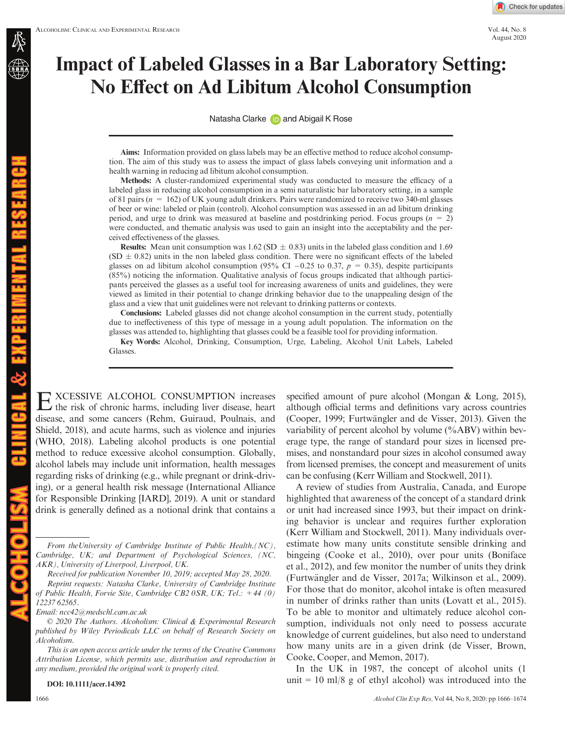August 2020

# Impact of Labeled Glasses in a Bar Laboratory Setting: No Effect on Ad Libitum Alcohol Consumption

Natasha Clark[e](https://orcid.org/0000-0003-2375-4510) **and Abigail K Rose** 

Aims: Information provided on glass labels may be an effective method to reduce alcohol consumption. The aim of this study was to assess the impact of glass labels conveying unit information and a health warning in reducing ad libitum alcohol consumption.

Methods: A cluster-randomized experimental study was conducted to measure the efficacy of a labeled glass in reducing alcohol consumption in a semi naturalistic bar laboratory setting, in a sample of 81 pairs ( $n = 162$ ) of UK young adult drinkers. Pairs were randomized to receive two 340-ml glasses of beer or wine: labeled or plain (control). Alcohol consumption was assessed in an ad libitum drinking period, and urge to drink was measured at baseline and postdrinking period. Focus groups ( $n = 2$ ) were conducted, and thematic analysis was used to gain an insight into the acceptability and the perceived effectiveness of the glasses.

**Results:** Mean unit consumption was 1.62 (SD  $\pm$  0.83) units in the labeled glass condition and 1.69  $(SD \pm 0.82)$  units in the non labeled glass condition. There were no significant effects of the labeled glasses on ad libitum alcohol consumption (95% CI -0.25 to 0.37,  $p = 0.35$ ), despite participants (85%) noticing the information. Qualitative analysis of focus groups indicated that although participants perceived the glasses as a useful tool for increasing awareness of units and guidelines, they were viewed as limited in their potential to change drinking behavior due to the unappealing design of the glass and a view that unit guidelines were not relevant to drinking patterns or contexts.

Conclusions: Labeled glasses did not change alcohol consumption in the current study, potentially due to ineffectiveness of this type of message in a young adult population. The information on the glasses was attended to, highlighting that glasses could be a feasible tool for providing information.

Key Words: Alcohol, Drinking, Consumption, Urge, Labeling, Alcohol Unit Labels, Labeled Glasses.

**EXCESSIVE ALCOHOL CONSUMPTION** increases the risk of chronic harms, including liver disease, heart disease, and some cancers (Rehm, Guiraud, Poulnais, and Shield, 2018), and acute harms, such as violence and injuries (WHO, 2018). Labeling alcohol products is one potential method to reduce excessive alcohol consumption. Globally, alcohol labels may include unit information, health messages regarding risks of drinking (e.g., while pregnant or drink-driving), or a general health risk message (International Alliance for Responsible Drinking [IARD], 2019). A unit or standard drink is generally defined as a notional drink that contains a

From theUniversity of Cambridge Institute of Public Health,(NC), Cambridge, UK; and Department of Psychological Sciences, (NC, AKR), University of Liverpool, Liverpool, UK.

Received for publication November 10, 2019; accepted May 28, 2020.

Reprint requests: Natasha Clarke, University of Cambridge Institute of Public Health, Forvie Site, Cambridge CB2 0SR, UK; Tel.: +44 (0) 12237 62565.

© 2020 The Authors. Alcoholism: Clinical & Experimental Research published by Wiley Periodicals LLC on behalf of Research Society on Alcoholism.

This is an open access article under the terms of the [Creative Commons](http://creativecommons.org/licenses/by/4.0/) [Attribution](http://creativecommons.org/licenses/by/4.0/) License, which permits use, distribution and reproduction in any medium, provided the original work is properly cited.

DOI: 10.1111/acer.14392

specified amount of pure alcohol (Mongan & Long, 2015), although official terms and definitions vary across countries (Cooper, 1999; Furtwängler and de Visser, 2013). Given the variability of percent alcohol by volume  $(\%ABV)$  within beverage type, the range of standard pour sizes in licensed premises, and nonstandard pour sizes in alcohol consumed away from licensed premises, the concept and measurement of units can be confusing (Kerr William and Stockwell, 2011).

A review of studies from Australia, Canada, and Europe highlighted that awareness of the concept of a standard drink or unit had increased since 1993, but their impact on drinking behavior is unclear and requires further exploration (Kerr William and Stockwell, 2011). Many individuals overestimate how many units constitute sensible drinking and bingeing (Cooke et al., 2010), over pour units (Boniface et al., 2012), and few monitor the number of units they drink (Furtw€angler and de Visser, 2017a; Wilkinson et al., 2009). For those that do monitor, alcohol intake is often measured in number of drinks rather than units (Lovatt et al., 2015). To be able to monitor and ultimately reduce alcohol consumption, individuals not only need to possess accurate knowledge of current guidelines, but also need to understand how many units are in a given drink (de Visser, Brown, Cooke, Cooper, and Memon, 2017).

In the UK in 1987, the concept of alcohol units (1 unit  $= 10$  ml/8 g of ethyl alcohol) was introduced into the

AL & EXPERIMENTAL RESEARC

Email: [ncc42@medschl.cam.ac.uk](mailto:)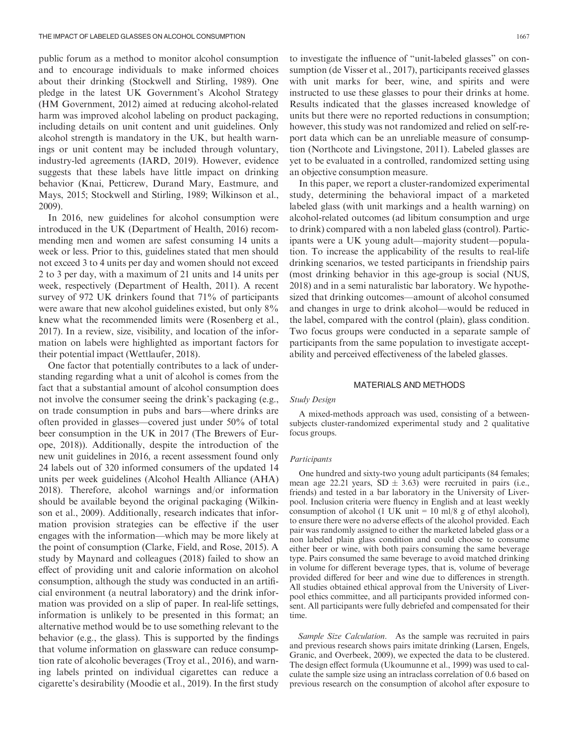public forum as a method to monitor alcohol consumption and to encourage individuals to make informed choices about their drinking (Stockwell and Stirling, 1989). One pledge in the latest UK Government's Alcohol Strategy (HM Government, 2012) aimed at reducing alcohol-related harm was improved alcohol labeling on product packaging, including details on unit content and unit guidelines. Only alcohol strength is mandatory in the UK, but health warnings or unit content may be included through voluntary, industry-led agreements (IARD, 2019). However, evidence suggests that these labels have little impact on drinking behavior (Knai, Petticrew, Durand Mary, Eastmure, and Mays, 2015; Stockwell and Stirling, 1989; Wilkinson et al., 2009).

In 2016, new guidelines for alcohol consumption were introduced in the UK (Department of Health, 2016) recommending men and women are safest consuming 14 units a week or less. Prior to this, guidelines stated that men should not exceed 3 to 4 units per day and women should not exceed 2 to 3 per day, with a maximum of 21 units and 14 units per week, respectively (Department of Health, 2011). A recent survey of 972 UK drinkers found that 71% of participants were aware that new alcohol guidelines existed, but only  $8\%$ knew what the recommended limits were (Rosenberg et al., 2017). In a review, size, visibility, and location of the information on labels were highlighted as important factors for their potential impact (Wettlaufer, 2018).

One factor that potentially contributes to a lack of understanding regarding what a unit of alcohol is comes from the fact that a substantial amount of alcohol consumption does not involve the consumer seeing the drink's packaging (e.g., on trade consumption in pubs and bars—where drinks are often provided in glasses—covered just under 50% of total beer consumption in the UK in 2017 (The Brewers of Europe, 2018)). Additionally, despite the introduction of the new unit guidelines in 2016, a recent assessment found only 24 labels out of 320 informed consumers of the updated 14 units per week guidelines (Alcohol Health Alliance (AHA) 2018). Therefore, alcohol warnings and/or information should be available beyond the original packaging (Wilkinson et al., 2009). Additionally, research indicates that information provision strategies can be effective if the user engages with the information—which may be more likely at the point of consumption (Clarke, Field, and Rose, 2015). A study by Maynard and colleagues (2018) failed to show an effect of providing unit and calorie information on alcohol consumption, although the study was conducted in an artificial environment (a neutral laboratory) and the drink information was provided on a slip of paper. In real-life settings, information is unlikely to be presented in this format; an alternative method would be to use something relevant to the behavior (e.g., the glass). This is supported by the findings that volume information on glassware can reduce consumption rate of alcoholic beverages (Troy et al., 2016), and warning labels printed on individual cigarettes can reduce a cigarette's desirability (Moodie et al., 2019). In the first study

to investigate the influence of "unit-labeled glasses" on consumption (de Visser et al., 2017), participants received glasses with unit marks for beer, wine, and spirits and were instructed to use these glasses to pour their drinks at home. Results indicated that the glasses increased knowledge of units but there were no reported reductions in consumption; however, this study was not randomized and relied on self-report data which can be an unreliable measure of consumption (Northcote and Livingstone, 2011). Labeled glasses are yet to be evaluated in a controlled, randomized setting using an objective consumption measure.

In this paper, we report a cluster-randomized experimental study, determining the behavioral impact of a marketed labeled glass (with unit markings and a health warning) on alcohol-related outcomes (ad libitum consumption and urge to drink) compared with a non labeled glass (control). Participants were a UK young adult—majority student—population. To increase the applicability of the results to real-life drinking scenarios, we tested participants in friendship pairs (most drinking behavior in this age-group is social (NUS, 2018) and in a semi naturalistic bar laboratory. We hypothesized that drinking outcomes—amount of alcohol consumed and changes in urge to drink alcohol—would be reduced in the label, compared with the control (plain), glass condition. Two focus groups were conducted in a separate sample of participants from the same population to investigate acceptability and perceived effectiveness of the labeled glasses.

#### MATERIALS AND METHODS

#### Study Design

A mixed-methods approach was used, consisting of a betweensubjects cluster-randomized experimental study and 2 qualitative focus groups.

#### **Participants**

One hundred and sixty-two young adult participants (84 females; mean age 22.21 years,  $SD \pm 3.63$ ) were recruited in pairs (i.e., friends) and tested in a bar laboratory in the University of Liverpool. Inclusion criteria were fluency in English and at least weekly consumption of alcohol (1 UK unit =  $10 \text{ ml} / 8$  g of ethyl alcohol), to ensure there were no adverse effects of the alcohol provided. Each pair was randomly assigned to either the marketed labeled glass or a non labeled plain glass condition and could choose to consume either beer or wine, with both pairs consuming the same beverage type. Pairs consumed the same beverage to avoid matched drinking in volume for different beverage types, that is, volume of beverage provided differed for beer and wine due to differences in strength. All studies obtained ethical approval from the University of Liverpool ethics committee, and all participants provided informed consent. All participants were fully debriefed and compensated for their time.

Sample Size Calculation. As the sample was recruited in pairs and previous research shows pairs imitate drinking (Larsen, Engels, Granic, and Overbeek, 2009), we expected the data to be clustered. The design effect formula (Ukoumunne et al., 1999) was used to calculate the sample size using an intraclass correlation of 0.6 based on previous research on the consumption of alcohol after exposure to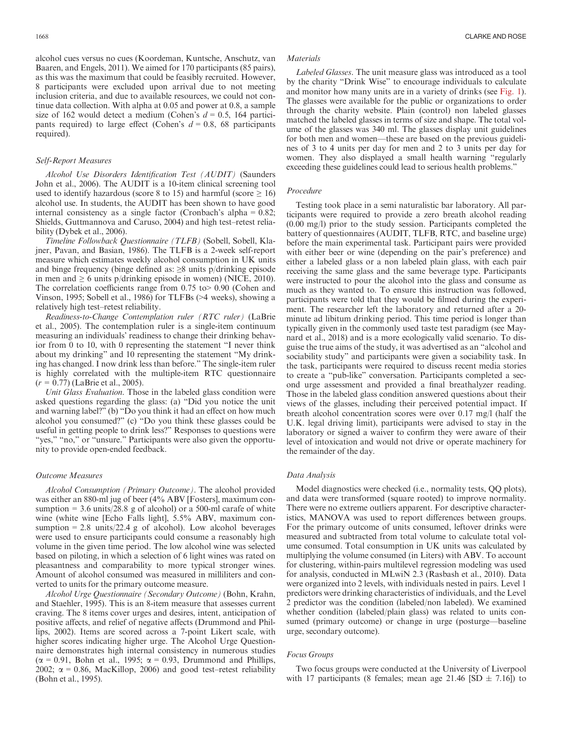alcohol cues versus no cues (Koordeman, Kuntsche, Anschutz, van Baaren, and Engels, 2011). We aimed for 170 participants (85 pairs), as this was the maximum that could be feasibly recruited. However, 8 participants were excluded upon arrival due to not meeting inclusion criteria, and due to available resources, we could not continue data collection. With alpha at 0.05 and power at 0.8, a sample size of 162 would detect a medium (Cohen's  $d = 0.5$ , 164 participants required) to large effect (Cohen's  $d = 0.8$ , 68 participants required).

#### Self-Report Measures

Alcohol Use Disorders Identification Test (AUDIT) (Saunders John et al., 2006). The AUDIT is a 10-item clinical screening tool used to identify hazardous (score 8 to 15) and harmful (score  $\geq$  16) alcohol use. In students, the AUDIT has been shown to have good internal consistency as a single factor (Cronbach's alpha = 0.82; Shields, Guttmannova and Caruso, 2004) and high test–retest reliability (Dybek et al., 2006).

Timeline Followback Questionnaire (TLFB) (Sobell, Sobell, Klajner, Pavan, and Basian, 1986). The TLFB is a 2-week self-report measure which estimates weekly alcohol consumption in UK units and binge frequency (binge defined as:  $\geq 8$  units p/drinking episode in men and  $\geq 6$  units p/drinking episode in women) (NICE, 2010). The correlation coefficients range from 0.75 to> 0.90 (Cohen and Vinson, 1995; Sobell et al., 1986) for TLFBs (>4 weeks), showing a relatively high test–retest reliability.

Readiness-to-Change Contemplation ruler (RTC ruler) (LaBrie et al., 2005). The contemplation ruler is a single-item continuum measuring an individuals' readiness to change their drinking behavior from 0 to 10, with 0 representing the statement "I never think about my drinking" and 10 representing the statement "My drinking has changed. I now drink less than before." The single-item ruler is highly correlated with the multiple-item RTC questionnaire  $(r = 0.77)$  (LaBrie et al., 2005).

Unit Glass Evaluation. Those in the labeled glass condition were asked questions regarding the glass: (a) "Did you notice the unit and warning label?" (b) "Do you think it had an effect on how much alcohol you consumed?" (c) "Do you think these glasses could be useful in getting people to drink less?" Responses to questions were "yes," "no," or "unsure." Participants were also given the opportunity to provide open-ended feedback.

#### Outcome Measures

Alcohol Consumption (Primary Outcome). The alcohol provided was either an 880-ml jug of beer (4% ABV [Fosters], maximum consumption  $= 3.6$  units/28.8 g of alcohol) or a 500-ml carafe of white wine (white wine [Echo Falls light], 5.5% ABV, maximum consumption  $= 2.8$  units/22.4 g of alcohol). Low alcohol beverages were used to ensure participants could consume a reasonably high volume in the given time period. The low alcohol wine was selected based on piloting, in which a selection of 6 light wines was rated on pleasantness and comparability to more typical stronger wines. Amount of alcohol consumed was measured in milliliters and converted to units for the primary outcome measure.

Alcohol Urge Questionnaire (Secondary Outcome) (Bohn, Krahn, and Staehler, 1995). This is an 8-item measure that assesses current craving. The 8 items cover urges and desires, intent, anticipation of positive affects, and relief of negative affects (Drummond and Phillips, 2002). Items are scored across a 7-point Likert scale, with higher scores indicating higher urge. The Alcohol Urge Questionnaire demonstrates high internal consistency in numerous studies  $(\alpha = 0.91,$  Bohn et al., 1995;  $\alpha = 0.93$ , Drummond and Phillips, 2002;  $\alpha = 0.86$ , MacKillop, 2006) and good test–retest reliability (Bohn et al., 1995).

#### **Materials**

Labeled Glasses. The unit measure glass was introduced as a tool by the charity "Drink Wise" to encourage individuals to calculate and monitor how many units are in a variety of drinks (see Fig. 1). The glasses were available for the public or organizations to order through the charity website. Plain (control) non labeled glasses matched the labeled glasses in terms of size and shape. The total volume of the glasses was 340 ml. The glasses display unit guidelines for both men and women—these are based on the previous guidelines of 3 to 4 units per day for men and 2 to 3 units per day for women. They also displayed a small health warning "regularly exceeding these guidelines could lead to serious health problems."

#### Procedure

Testing took place in a semi naturalistic bar laboratory. All participants were required to provide a zero breath alcohol reading (0.00 mg/l) prior to the study session. Participants completed the battery of questionnaires (AUDIT, TLFB, RTC, and baseline urge) before the main experimental task. Participant pairs were provided with either beer or wine (depending on the pair's preference) and either a labeled glass or a non labeled plain glass, with each pair receiving the same glass and the same beverage type. Participants were instructed to pour the alcohol into the glass and consume as much as they wanted to. To ensure this instruction was followed, participants were told that they would be filmed during the experiment. The researcher left the laboratory and returned after a 20 minute ad libitum drinking period. This time period is longer than typically given in the commonly used taste test paradigm (see Maynard et al., 2018) and is a more ecologically valid scenario. To disguise the true aims of the study, it was advertised as an "alcohol and sociability study" and participants were given a sociability task. In the task, participants were required to discuss recent media stories to create a "pub-like" conversation. Participants completed a second urge assessment and provided a final breathalyzer reading. Those in the labeled glass condition answered questions about their views of the glasses, including their perceived potential impact. If breath alcohol concentration scores were over 0.17 mg/l (half the U.K. legal driving limit), participants were advised to stay in the laboratory or signed a waiver to confirm they were aware of their level of intoxication and would not drive or operate machinery for the remainder of the day.

#### Data Analysis

Model diagnostics were checked (i.e., normality tests, QQ plots), and data were transformed (square rooted) to improve normality. There were no extreme outliers apparent. For descriptive characteristics, MANOVA was used to report differences between groups. For the primary outcome of units consumed, leftover drinks were measured and subtracted from total volume to calculate total volume consumed. Total consumption in UK units was calculated by multiplying the volume consumed (in Liters) with ABV. To account for clustering, within-pairs multilevel regression modeling was used for analysis, conducted in MLwiN 2.3 (Rasbash et al., 2010). Data were organized into 2 levels, with individuals nested in pairs. Level 1 predictors were drinking characteristics of individuals, and the Level 2 predictor was the condition (labeled/non labeled). We examined whether condition (labeled/plain glass) was related to units consumed (primary outcome) or change in urge (posturge—baseline urge, secondary outcome).

#### Focus Groups

Two focus groups were conducted at the University of Liverpool with 17 participants (8 females; mean age 21.46 [SD  $\pm$  7.16]) to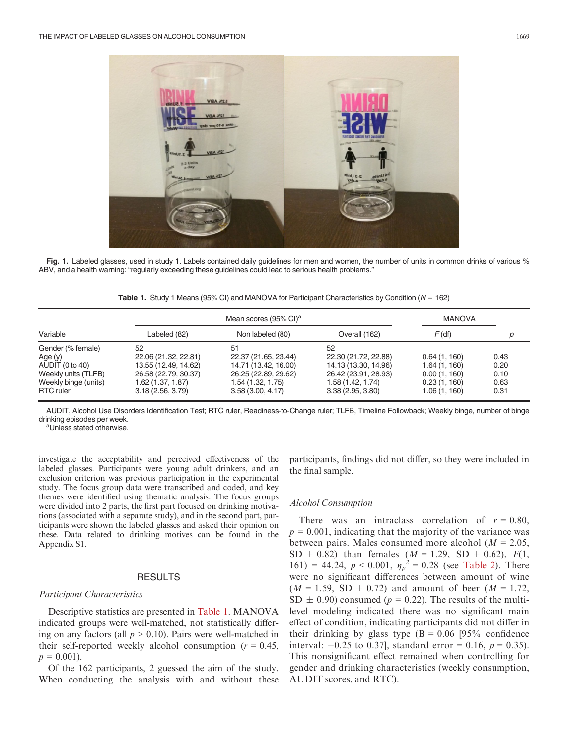

Fig. 1. Labeled glasses, used in study 1. Labels contained daily guidelines for men and women, the number of units in common drinks of various % ABV, and a health warning: "regularly exceeding these guidelines could lead to serious health problems."

**Table 1.** Study 1 Means (95% CI) and MANOVA for Participant Characteristics by Condition ( $N = 162$ )

|                      | Mean scores (95% CI) <sup>a</sup> |                      |                      | <b>MANOVA</b> |      |
|----------------------|-----------------------------------|----------------------|----------------------|---------------|------|
| Variable             | Labeled (82)                      | Non labeled (80)     | Overall (162)        | $F$ (df)      | D    |
| Gender (% female)    | 52                                | 51                   | 52                   |               |      |
| Age(y)               | 22.06 (21.32, 22.81)              | 22.37 (21.65, 23.44) | 22.30 (21.72, 22.88) | 0.64(1, 160)  | 0.43 |
| AUDIT (0 to 40)      | 13.55 (12.49, 14.62)              | 14.71 (13.42, 16.00) | 14.13 (13.30, 14.96) | 1.64(1, 160)  | 0.20 |
| Weekly units (TLFB)  | 26.58 (22.79, 30.37)              | 26.25 (22.89, 29.62) | 26.42 (23.91, 28.93) | 0.00(1, 160)  | 0.10 |
| Weekly binge (units) | 1.62 (1.37, 1.87)                 | 1.54 (1.32, 1.75)    | 1.58 (1.42, 1.74)    | 0.23(1, 160)  | 0.63 |
| <b>RTC</b> ruler     | 3.18(2.56, 3.79)                  | 3.58(3.00, 4.17)     | 3.38(2.95, 3.80)     | 1.06 (1, 160) | 0.31 |

AUDIT, Alcohol Use Disorders Identification Test; RTC ruler, Readiness-to-Change ruler; TLFB, Timeline Followback; Weekly binge, number of binge drinking episodes per week.

<sup>a</sup>Unless stated otherwise.

investigate the acceptability and perceived effectiveness of the labeled glasses. Participants were young adult drinkers, and an exclusion criterion was previous participation in the experimental study. The focus group data were transcribed and coded, and key themes were identified using thematic analysis. The focus groups were divided into 2 parts, the first part focused on drinking motivations (associated with a separate study), and in the second part, participants were shown the labeled glasses and asked their opinion on these. Data related to drinking motives can be found in the Appendix S1.

## RESULTS

#### Participant Characteristics

Descriptive statistics are presented in Table 1. MANOVA indicated groups were well-matched, not statistically differing on any factors (all  $p > 0.10$ ). Pairs were well-matched in their self-reported weekly alcohol consumption ( $r = 0.45$ ,  $p = 0.001$ ).

Of the 162 participants, 2 guessed the aim of the study. When conducting the analysis with and without these participants, findings did not differ, so they were included in the final sample.

#### Alcohol Consumption

There was an intraclass correlation of  $r = 0.80$ ,  $p = 0.001$ , indicating that the majority of the variance was between pairs. Males consumed more alcohol ( $M = 2.05$ , SD  $\pm$  0.82) than females (*M* = 1.29, SD  $\pm$  0.62), *F*(1, 161) = 44.24,  $p < 0.001$ ,  $\eta_p^2 = 0.28$  (see Table 2). There were no significant differences between amount of wine  $(M = 1.59, SD \pm 0.72)$  and amount of beer  $(M = 1.72,$  $SD \pm 0.90$ ) consumed ( $p = 0.22$ ). The results of the multilevel modeling indicated there was no significant main effect of condition, indicating participants did not differ in their drinking by glass type  $(B = 0.06)$  [95% confidence] interval:  $-0.25$  to 0.37], standard error = 0.16,  $p = 0.35$ ). This nonsignificant effect remained when controlling for gender and drinking characteristics (weekly consumption, AUDIT scores, and RTC).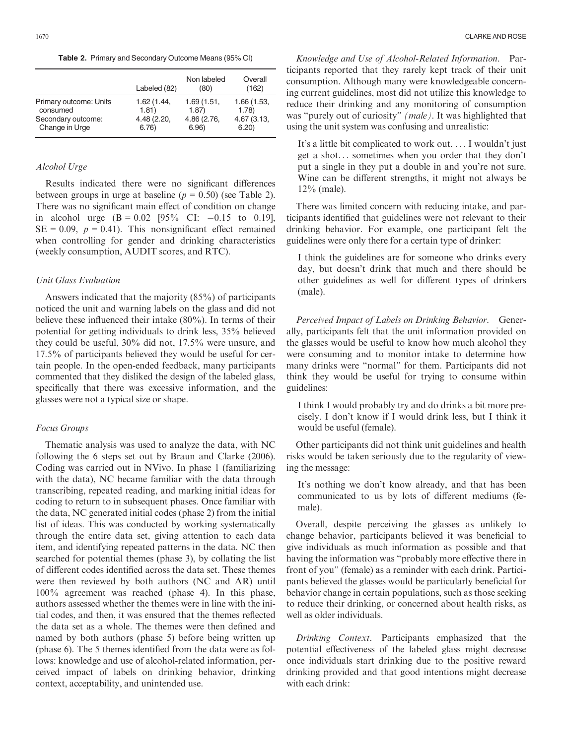Table 2. Primary and Secondary Outcome Means (95% CI)

|                        | Labeled (82) | Non labeled<br>(80) | Overall<br>(162) |
|------------------------|--------------|---------------------|------------------|
| Primary outcome: Units | 1.62(1.44,   | 1.69(1.51,          | 1.66 (1.53,      |
| consumed               | 1.81)        | 1.87                | 1.78             |
| Secondary outcome:     | 4.48 (2.20,  | 4.86 (2.76,         | 4.67 (3.13,      |
| Change in Urge         | 6.76)        | 6.96                | 6.20             |

# Alcohol Urge

Results indicated there were no significant differences between groups in urge at baseline  $(p = 0.50)$  (see Table 2). There was no significant main effect of condition on change in alcohol urge  $(B = 0.02 \text{ } [95\% \text{ } CI: -0.15 \text{ to } 0.19],$  $SE = 0.09$ ,  $p = 0.41$ ). This nonsignificant effect remained when controlling for gender and drinking characteristics (weekly consumption, AUDIT scores, and RTC).

## Unit Glass Evaluation

Answers indicated that the majority (85%) of participants noticed the unit and warning labels on the glass and did not believe these influenced their intake (80%). In terms of their potential for getting individuals to drink less, 35% believed they could be useful, 30% did not, 17.5% were unsure, and 17.5% of participants believed they would be useful for certain people. In the open-ended feedback, many participants commented that they disliked the design of the labeled glass, specifically that there was excessive information, and the glasses were not a typical size or shape.

# Focus Groups

Thematic analysis was used to analyze the data, with NC following the 6 steps set out by Braun and Clarke (2006). Coding was carried out in NVivo. In phase 1 (familiarizing with the data), NC became familiar with the data through transcribing, repeated reading, and marking initial ideas for coding to return to in subsequent phases. Once familiar with the data, NC generated initial codes (phase 2) from the initial list of ideas. This was conducted by working systematically through the entire data set, giving attention to each data item, and identifying repeated patterns in the data. NC then searched for potential themes (phase 3), by collating the list of different codes identified across the data set. These themes were then reviewed by both authors (NC and AR) until 100% agreement was reached (phase 4). In this phase, authors assessed whether the themes were in line with the initial codes, and then, it was ensured that the themes reflected the data set as a whole. The themes were then defined and named by both authors (phase 5) before being written up (phase 6). The 5 themes identified from the data were as follows: knowledge and use of alcohol-related information, perceived impact of labels on drinking behavior, drinking context, acceptability, and unintended use.

Knowledge and Use of Alcohol-Related Information. Participants reported that they rarely kept track of their unit consumption. Although many were knowledgeable concerning current guidelines, most did not utilize this knowledge to reduce their drinking and any monitoring of consumption was "purely out of curiosity" (male). It was highlighted that using the unit system was confusing and unrealistic:

It's a little bit complicated to work out. ... I wouldn't just get a shot... sometimes when you order that they don't put a single in they put a double in and you're not sure. Wine can be different strengths, it might not always be 12% (male).

There was limited concern with reducing intake, and participants identified that guidelines were not relevant to their drinking behavior. For example, one participant felt the guidelines were only there for a certain type of drinker:

I think the guidelines are for someone who drinks every day, but doesn't drink that much and there should be other guidelines as well for different types of drinkers (male).

Perceived Impact of Labels on Drinking Behavior. Generally, participants felt that the unit information provided on the glasses would be useful to know how much alcohol they were consuming and to monitor intake to determine how many drinks were "normal" for them. Participants did not think they would be useful for trying to consume within guidelines:

I think I would probably try and do drinks a bit more precisely. I don't know if I would drink less, but I think it would be useful (female).

Other participants did not think unit guidelines and health risks would be taken seriously due to the regularity of viewing the message:

It's nothing we don't know already, and that has been communicated to us by lots of different mediums (female).

Overall, despite perceiving the glasses as unlikely to change behavior, participants believed it was beneficial to give individuals as much information as possible and that having the information was "probably more effective there in front of you" (female) as a reminder with each drink. Participants believed the glasses would be particularly beneficial for behavior change in certain populations, such as those seeking to reduce their drinking, or concerned about health risks, as well as older individuals.

Drinking Context. Participants emphasized that the potential effectiveness of the labeled glass might decrease once individuals start drinking due to the positive reward drinking provided and that good intentions might decrease with each drink: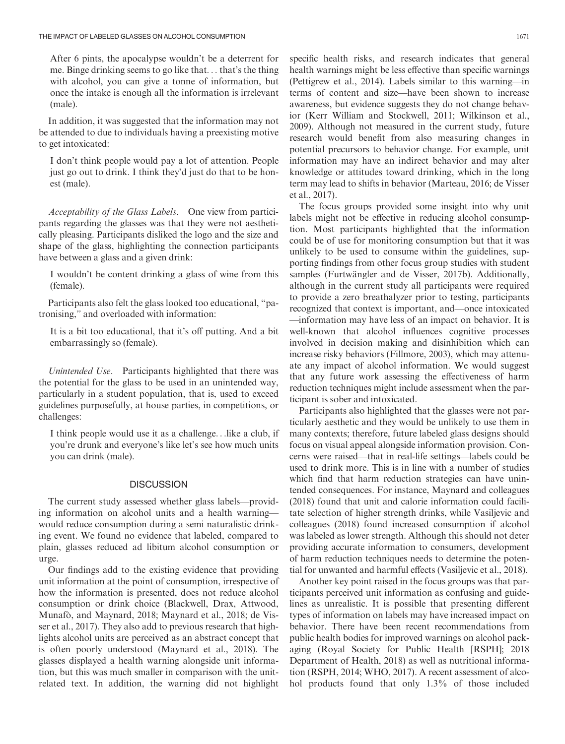After 6 pints, the apocalypse wouldn't be a deterrent for me. Binge drinking seems to go like that... that's the thing with alcohol, you can give a tonne of information, but once the intake is enough all the information is irrelevant (male).

In addition, it was suggested that the information may not be attended to due to individuals having a preexisting motive to get intoxicated:

I don't think people would pay a lot of attention. People just go out to drink. I think they'd just do that to be honest (male).

Acceptability of the Glass Labels. One view from participants regarding the glasses was that they were not aesthetically pleasing. Participants disliked the logo and the size and shape of the glass, highlighting the connection participants have between a glass and a given drink:

I wouldn't be content drinking a glass of wine from this (female).

Participants also felt the glass looked too educational, "patronising," and overloaded with information:

It is a bit too educational, that it's off putting. And a bit embarrassingly so (female).

Unintended Use. Participants highlighted that there was the potential for the glass to be used in an unintended way, particularly in a student population, that is, used to exceed guidelines purposefully, at house parties, in competitions, or challenges:

I think people would use it as a challenge...like a club, if you're drunk and everyone's like let's see how much units you can drink (male).

## **DISCUSSION**

The current study assessed whether glass labels—providing information on alcohol units and a health warning would reduce consumption during a semi naturalistic drinking event. We found no evidence that labeled, compared to plain, glasses reduced ad libitum alcohol consumption or urge.

Our findings add to the existing evidence that providing unit information at the point of consumption, irrespective of how the information is presented, does not reduce alcohol consumption or drink choice (Blackwell, Drax, Attwood, Munafò, and Maynard, 2018; Maynard et al., 2018; de Visser et al., 2017). They also add to previous research that highlights alcohol units are perceived as an abstract concept that is often poorly understood (Maynard et al., 2018). The glasses displayed a health warning alongside unit information, but this was much smaller in comparison with the unitrelated text. In addition, the warning did not highlight

specific health risks, and research indicates that general health warnings might be less effective than specific warnings (Pettigrew et al., 2014). Labels similar to this warning—in terms of content and size—have been shown to increase awareness, but evidence suggests they do not change behavior (Kerr William and Stockwell, 2011; Wilkinson et al., 2009). Although not measured in the current study, future research would benefit from also measuring changes in potential precursors to behavior change. For example, unit information may have an indirect behavior and may alter knowledge or attitudes toward drinking, which in the long term may lead to shifts in behavior (Marteau, 2016; de Visser et al., 2017).

The focus groups provided some insight into why unit labels might not be effective in reducing alcohol consumption. Most participants highlighted that the information could be of use for monitoring consumption but that it was unlikely to be used to consume within the guidelines, supporting findings from other focus group studies with student samples (Furtwängler and de Visser, 2017b). Additionally, although in the current study all participants were required to provide a zero breathalyzer prior to testing, participants recognized that context is important, and—once intoxicated —information may have less of an impact on behavior. It is well-known that alcohol influences cognitive processes involved in decision making and disinhibition which can increase risky behaviors (Fillmore, 2003), which may attenuate any impact of alcohol information. We would suggest that any future work assessing the effectiveness of harm reduction techniques might include assessment when the participant is sober and intoxicated.

Participants also highlighted that the glasses were not particularly aesthetic and they would be unlikely to use them in many contexts; therefore, future labeled glass designs should focus on visual appeal alongside information provision. Concerns were raised—that in real-life settings—labels could be used to drink more. This is in line with a number of studies which find that harm reduction strategies can have unintended consequences. For instance, Maynard and colleagues (2018) found that unit and calorie information could facilitate selection of higher strength drinks, while Vasiljevic and colleagues (2018) found increased consumption if alcohol was labeled as lower strength. Although this should not deter providing accurate information to consumers, development of harm reduction techniques needs to determine the potential for unwanted and harmful effects (Vasiljevic et al., 2018).

Another key point raised in the focus groups was that participants perceived unit information as confusing and guidelines as unrealistic. It is possible that presenting different types of information on labels may have increased impact on behavior. There have been recent recommendations from public health bodies for improved warnings on alcohol packaging (Royal Society for Public Health [RSPH]; 2018 Department of Health, 2018) as well as nutritional information (RSPH, 2014; WHO, 2017). A recent assessment of alcohol products found that only 1.3% of those included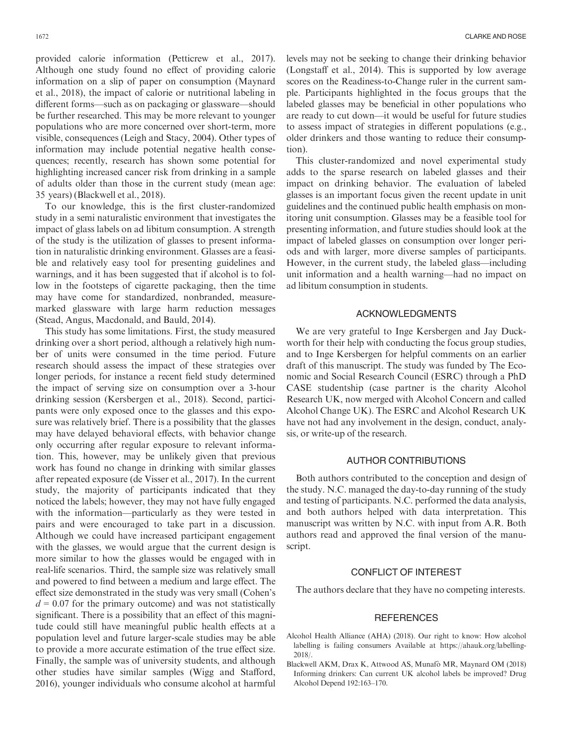provided calorie information (Petticrew et al., 2017). Although one study found no effect of providing calorie information on a slip of paper on consumption (Maynard et al., 2018), the impact of calorie or nutritional labeling in different forms—such as on packaging or glassware—should be further researched. This may be more relevant to younger populations who are more concerned over short-term, more visible, consequences (Leigh and Stacy, 2004). Other types of information may include potential negative health consequences; recently, research has shown some potential for highlighting increased cancer risk from drinking in a sample of adults older than those in the current study (mean age: 35 years) (Blackwell et al., 2018).

To our knowledge, this is the first cluster-randomized study in a semi naturalistic environment that investigates the impact of glass labels on ad libitum consumption. A strength of the study is the utilization of glasses to present information in naturalistic drinking environment. Glasses are a feasible and relatively easy tool for presenting guidelines and warnings, and it has been suggested that if alcohol is to follow in the footsteps of cigarette packaging, then the time may have come for standardized, nonbranded, measuremarked glassware with large harm reduction messages (Stead, Angus, Macdonald, and Bauld, 2014).

This study has some limitations. First, the study measured drinking over a short period, although a relatively high number of units were consumed in the time period. Future research should assess the impact of these strategies over longer periods, for instance a recent field study determined the impact of serving size on consumption over a 3-hour drinking session (Kersbergen et al., 2018). Second, participants were only exposed once to the glasses and this exposure was relatively brief. There is a possibility that the glasses may have delayed behavioral effects, with behavior change only occurring after regular exposure to relevant information. This, however, may be unlikely given that previous work has found no change in drinking with similar glasses after repeated exposure (de Visser et al., 2017). In the current study, the majority of participants indicated that they noticed the labels; however, they may not have fully engaged with the information—particularly as they were tested in pairs and were encouraged to take part in a discussion. Although we could have increased participant engagement with the glasses, we would argue that the current design is more similar to how the glasses would be engaged with in real-life scenarios. Third, the sample size was relatively small and powered to find between a medium and large effect. The effect size demonstrated in the study was very small (Cohen's  $d = 0.07$  for the primary outcome) and was not statistically significant. There is a possibility that an effect of this magnitude could still have meaningful public health effects at a population level and future larger-scale studies may be able to provide a more accurate estimation of the true effect size. Finally, the sample was of university students, and although other studies have similar samples (Wigg and Stafford, 2016), younger individuals who consume alcohol at harmful

levels may not be seeking to change their drinking behavior (Longstaff et al., 2014). This is supported by low average scores on the Readiness-to-Change ruler in the current sample. Participants highlighted in the focus groups that the labeled glasses may be beneficial in other populations who are ready to cut down—it would be useful for future studies to assess impact of strategies in different populations (e.g., older drinkers and those wanting to reduce their consumption).

This cluster-randomized and novel experimental study adds to the sparse research on labeled glasses and their impact on drinking behavior. The evaluation of labeled glasses is an important focus given the recent update in unit guidelines and the continued public health emphasis on monitoring unit consumption. Glasses may be a feasible tool for presenting information, and future studies should look at the impact of labeled glasses on consumption over longer periods and with larger, more diverse samples of participants. However, in the current study, the labeled glass—including unit information and a health warning—had no impact on ad libitum consumption in students.

# ACKNOWLEDGMENTS

We are very grateful to Inge Kersbergen and Jay Duckworth for their help with conducting the focus group studies, and to Inge Kersbergen for helpful comments on an earlier draft of this manuscript. The study was funded by The Economic and Social Research Council (ESRC) through a PhD CASE studentship (case partner is the charity Alcohol Research UK, now merged with Alcohol Concern and called Alcohol Change UK). The ESRC and Alcohol Research UK have not had any involvement in the design, conduct, analysis, or write-up of the research.

# AUTHOR CONTRIBUTIONS

Both authors contributed to the conception and design of the study. N.C. managed the day-to-day running of the study and testing of participants. N.C. performed the data analysis, and both authors helped with data interpretation. This manuscript was written by N.C. with input from A.R. Both authors read and approved the final version of the manuscript.

#### CONFLICT OF INTEREST

The authors declare that they have no competing interests.

## **REFERENCES**

- Alcohol Health Alliance (AHA) (2018). Our right to know: How alcohol labelling is failing consumers Available at [https://ahauk.org/labelling-](https://ahauk.org/labelling-2018/)[2018/.](https://ahauk.org/labelling-2018/)
- Blackwell AKM, Drax K, Attwood AS, Munafò MR, Maynard OM (2018) Informing drinkers: Can current UK alcohol labels be improved? Drug Alcohol Depend 192:163–170.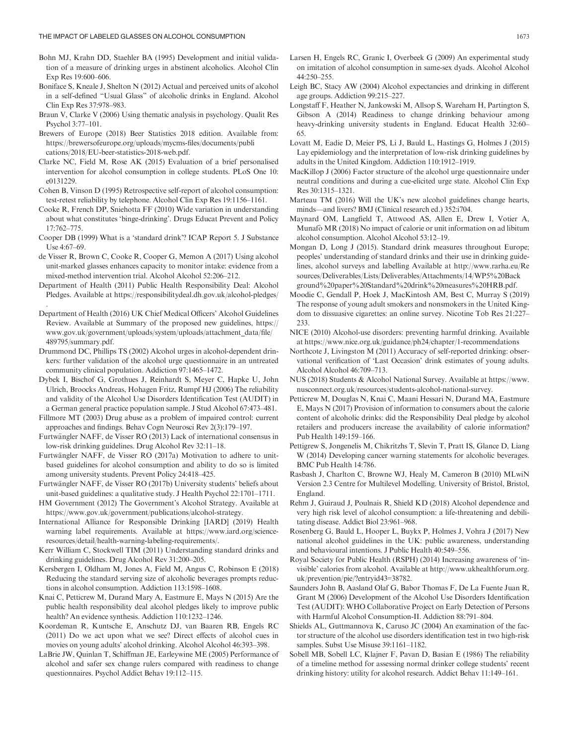- Boniface S, Kneale J, Shelton N (2012) Actual and perceived units of alcohol in a self-defined "Usual Glass" of alcoholic drinks in England. Alcohol Clin Exp Res 37:978–983.
- Braun V, Clarke V (2006) Using thematic analysis in psychology. Qualit Res Psychol 3:77–101.
- Brewers of Europe (2018) Beer Statistics 2018 edition. Available from: [https://brewersofeurope.org/uploads/mycms-files/documents/publi](https://brewersofeurope.org/uploads/mycms-files/documents/publications/2018/EU-beer-statistics-2018-web.pdf) [cations/2018/EU-beer-statistics-2018-web.pdf](https://brewersofeurope.org/uploads/mycms-files/documents/publications/2018/EU-beer-statistics-2018-web.pdf).
- Clarke NC, Field M, Rose AK (2015) Evaluation of a brief personalised intervention for alcohol consumption in college students. PLoS One 10: e0131229.
- Cohen B, Vinson D (1995) Retrospective self-report of alcohol consumption: test-retest reliability by telephone. Alcohol Clin Exp Res 19:1156–1161.
- Cooke R, French DP, Sniehotta FF (2010) Wide variation in understanding about what constitutes 'binge-drinking'. Drugs Educat Prevent and Policy 17:762–775.
- Cooper DB (1999) What is a 'standard drink'? ICAP Report 5. J Substance Use 4:67–69.
- de Visser R, Brown C, Cooke R, Cooper G, Memon A (2017) Using alcohol unit-marked glasses enhances capacity to monitor intake: evidence from a mixed-method intervention trial. Alcohol Alcohol 52:206–212.
- Department of Health (2011) Public Health Responsibility Deal: Alcohol Pledges. Available at<https://responsibilitydeal.dh.gov.uk/alcohol-pledges/> .
- Department of Health (2016) UK Chief Medical Officers' Alcohol Guidelines Review. Available at Summary of the proposed new guidelines, [https://](https://www.gov.uk/government/uploads/system/uploads/attachment_data/file/489795/summary.pdf) [www.gov.uk/government/uploads/system/uploads/attachment\\_data/file/](https://www.gov.uk/government/uploads/system/uploads/attachment_data/file/489795/summary.pdf) [489795/summary.pdf](https://www.gov.uk/government/uploads/system/uploads/attachment_data/file/489795/summary.pdf).
- Drummond DC, Phillips TS (2002) Alcohol urges in alcohol-dependent drinkers: further validation of the alcohol urge questionnaire in an untreated community clinical population. Addiction 97:1465–1472.
- Dybek I, Bischof G, Grothues J, Reinhardt S, Meyer C, Hapke U, John Ulrich, Broocks Andreas, Hohagen Fritz, Rumpf HJ (2006) The reliability and validity of the Alcohol Use Disorders Identification Test (AUDIT) in a German general practice population sample. J Stud Alcohol 67:473–481.
- Fillmore MT (2003) Drug abuse as a problem of impaired control: current approaches and findings. Behav Cogn Neurosci Rev 2(3):179–197.
- Furtwängler NAFF, de Visser RO (2013) Lack of international consensus in low-risk drinking guidelines. Drug Alcohol Rev 32:11–18.
- Furtwängler NAFF, de Visser RO (2017a) Motivation to adhere to unitbased guidelines for alcohol consumption and ability to do so is limited among university students. Prevent Policy 24:418–425.
- Furtwängler NAFF, de Visser RO (2017b) University students' beliefs about unit-based guidelines: a qualitative study. J Health Psychol 22:1701–1711.
- HM Government (2012) The Government's Alcohol Strategy. Available at [https://www.gov.uk/government/publications/alcohol-strategy.](https://www.gov.uk/government/publications/alcohol-strategy)
- International Alliance for Responsible Drinking [IARD] (2019) Health warning label requirements. Available at [https://www.iard.org/science](https://www.iard.org/science-resources/detail/health-warning-labeling-requirements/)[resources/detail/health-warning-labeling-requirements/.](https://www.iard.org/science-resources/detail/health-warning-labeling-requirements/)
- Kerr William C, Stockwell TIM (2011) Understanding standard drinks and drinking guidelines. Drug Alcohol Rev 31:200–205.
- Kersbergen I, Oldham M, Jones A, Field M, Angus C, Robinson E (2018) Reducing the standard serving size of alcoholic beverages prompts reductions in alcohol consumption. Addiction 113:1598–1608.
- Knai C, Petticrew M, Durand Mary A, Eastmure E, Mays N (2015) Are the public health responsibility deal alcohol pledges likely to improve public health? An evidence synthesis. Addiction 110:1232–1246.
- Koordeman R, Kuntsche E, Anschutz DJ, van Baaren RB, Engels RC (2011) Do we act upon what we see? Direct effects of alcohol cues in movies on young adults' alcohol drinking. Alcohol Alcohol 46:393–398.
- LaBrie JW, Quinlan T, Schiffman JE, Earleywine ME (2005) Performance of alcohol and safer sex change rulers compared with readiness to change questionnaires. Psychol Addict Behav 19:112–115.
- Larsen H, Engels RC, Granic I, Overbeek G (2009) An experimental study on imitation of alcohol consumption in same-sex dyads. Alcohol Alcohol 44:250–255.
- Leigh BC, Stacy AW (2004) Alcohol expectancies and drinking in different age groups. Addiction 99:215–227.
- Longstaff F, Heather N, Jankowski M, Allsop S, Wareham H, Partington S, Gibson A (2014) Readiness to change drinking behaviour among heavy-drinking university students in England. Educat Health 32:60– 65.
- Lovatt M, Eadie D, Meier PS, Li J, Bauld L, Hastings G, Holmes J (2015) Lay epidemiology and the interpretation of low-risk drinking guidelines by adults in the United Kingdom. Addiction 110:1912–1919.
- MacKillop J (2006) Factor structure of the alcohol urge questionnaire under neutral conditions and during a cue-elicited urge state. Alcohol Clin Exp Res 30:1315–1321.
- Marteau TM (2016) Will the UK's new alcohol guidelines change hearts, minds—and livers? BMJ (Clinical research ed.) 352:i704.
- Maynard OM, Langfield T, Attwood AS, Allen E, Drew I, Votier A, Munafò MR (2018) No impact of calorie or unit information on ad libitum alcohol consumption. Alcohol Alcohol 53:12–19.
- Mongan D, Long J (2015). Standard drink measures throughout Europe; peoples' understanding of standard drinks and their use in drinking guidelines, alcohol surveys and labelling Available at [http://www.rarha.eu/Re](http://www.rarha.eu/Resources/Deliverables/Lists/Deliverables/Attachments/14/WP5%20Background%20paper%20Standard%20drink%20measures%20HRB.pdf) [sources/Deliverables/Lists/Deliverables/Attachments/14/WP5%20Back](http://www.rarha.eu/Resources/Deliverables/Lists/Deliverables/Attachments/14/WP5%20Background%20paper%20Standard%20drink%20measures%20HRB.pdf) [ground%20paper%20Standard%20drink%20measures%20HRB.pdf](http://www.rarha.eu/Resources/Deliverables/Lists/Deliverables/Attachments/14/WP5%20Background%20paper%20Standard%20drink%20measures%20HRB.pdf).
- Moodie C, Gendall P, Hoek J, MacKintosh AM, Best C, Murray S (2019) The response of young adult smokers and nonsmokers in the United Kingdom to dissuasive cigarettes: an online survey. Nicotine Tob Res 21:227– 233.
- NICE (2010) Alcohol-use disorders: preventing harmful drinking. Available at<https://www.nice.org.uk/guidance/ph24/chapter/1-recommendations>
- Northcote J, Livingston M (2011) Accuracy of self-reported drinking: observational verification of 'Last Occasion' drink estimates of young adults. Alcohol Alcohol 46:709–713.
- NUS (2018) Students & Alcohol National Survey. Available at [https://www.](https://www.nusconnect.org.uk/resources/students-alcohol-national-survey) [nusconnect.org.uk/resources/students-alcohol-national-survey](https://www.nusconnect.org.uk/resources/students-alcohol-national-survey).
- Petticrew M, Douglas N, Knai C, Maani Hessari N, Durand MA, Eastmure E, Mays N (2017) Provision of information to consumers about the calorie content of alcoholic drinks: did the Responsibility Deal pledge by alcohol retailers and producers increase the availability of calorie information? Pub Health 149:159–166.
- Pettigrew S, Jongenelis M, Chikritzhs T, Slevin T, Pratt IS, Glance D, Liang W (2014) Developing cancer warning statements for alcoholic beverages. BMC Pub Health 14:786.
- Rasbash J, Charlton C, Browne WJ, Healy M, Cameron B (2010) MLwiN Version 2.3 Centre for Multilevel Modelling. University of Bristol, Bristol, England.
- Rehm J, Guiraud J, Poulnais R, Shield KD (2018) Alcohol dependence and very high risk level of alcohol consumption: a life-threatening and debilitating disease. Addict Biol 23:961–968.
- Rosenberg G, Bauld L, Hooper L, Buykx P, Holmes J, Vohra J (2017) New national alcohol guidelines in the UK: public awareness, understanding and behavioural intentions. J Public Health 40:549–556.
- Royal Society for Public Health (RSPH) (2014) Increasing awareness of 'invisible' calories from alcohol. Available at [http://www.ukhealthforum.org.](http://www.ukhealthforum.org.uk/prevention/pie/?entryid43=38782) [uk/prevention/pie/?entryid43](http://www.ukhealthforum.org.uk/prevention/pie/?entryid43=38782)=38782.
- Saunders John B, Aasland Olaf G, Babor Thomas F, De La Fuente Juan R, Grant M (2006) Development of the Alcohol Use Disorders Identification Test (AUDIT): WHO Collaborative Project on Early Detection of Persons with Harmful Alcohol Consumption-II. Addiction 88:791–804.
- Shields AL, Guttmannova K, Caruso JC (2004) An examination of the factor structure of the alcohol use disorders identification test in two high-risk samples. Subst Use Misuse 39:1161–1182.
- Sobell MB, Sobell LC, Klajner F, Pavan D, Basian E (1986) The reliability of a timeline method for assessing normal drinker college students' recent drinking history: utility for alcohol research. Addict Behav 11:149–161.